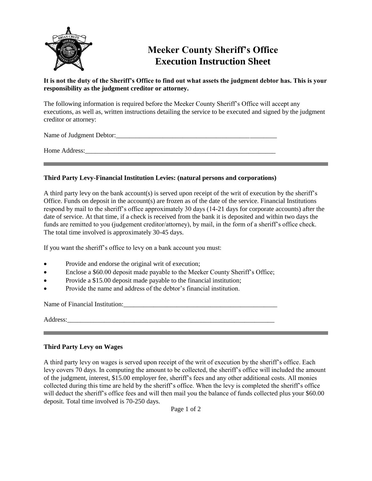

## **Meeker County Sheriff's Office Execution Instruction Sheet**

## **It is not the duty of the Sheriff's Office to find out what assets the judgment debtor has. This is your responsibility as the judgment creditor or attorney.**

The following information is required before the Meeker County Sheriff's Office will accept any executions, as well as, written instructions detailing the service to be executed and signed by the judgment creditor or attorney:

Name of Judgment Debtor:

Home Address:

## **Third Party Levy-Financial Institution Levies: (natural persons and corporations)**

A third party levy on the bank account(s) is served upon receipt of the writ of execution by the sheriff's Office. Funds on deposit in the account(s) are frozen as of the date of the service. Financial Institutions respond by mail to the sheriff's office approximately 30 days (14-21 days for corporate accounts) after the date of service. At that time, if a check is received from the bank it is deposited and within two days the funds are remitted to you (judgement creditor/attorney), by mail, in the form of a sheriff's office check. The total time involved is approximately 30-45 days.

If you want the sheriff's office to levy on a bank account you must:

- Provide and endorse the original writ of execution;
- Enclose a \$60.00 deposit made payable to the Meeker County Sheriff's Office;

a sa kacamatan ing Kabupatèn Kabupatèn Kabupatèn Kabupatèn Kabupatèn Kabupatèn Kabupatèn Kabupatèn Kabupatèn K

- Provide a \$15.00 deposit made payable to the financial institution;
- Provide the name and address of the debtor's financial institution.

Name of Financial Institution:

Address:

## **Third Party Levy on Wages**

A third party levy on wages is served upon receipt of the writ of execution by the sheriff's office. Each levy covers 70 days. In computing the amount to be collected, the sheriff's office will included the amount of the judgment, interest, \$15.00 employer fee, sheriff's fees and any other additional costs. All monies collected during this time are held by the sheriff's office. When the levy is completed the sheriff's office will deduct the sheriff's office fees and will then mail you the balance of funds collected plus your \$60.00 deposit. Total time involved is 70-250 days.

Page 1 of 2